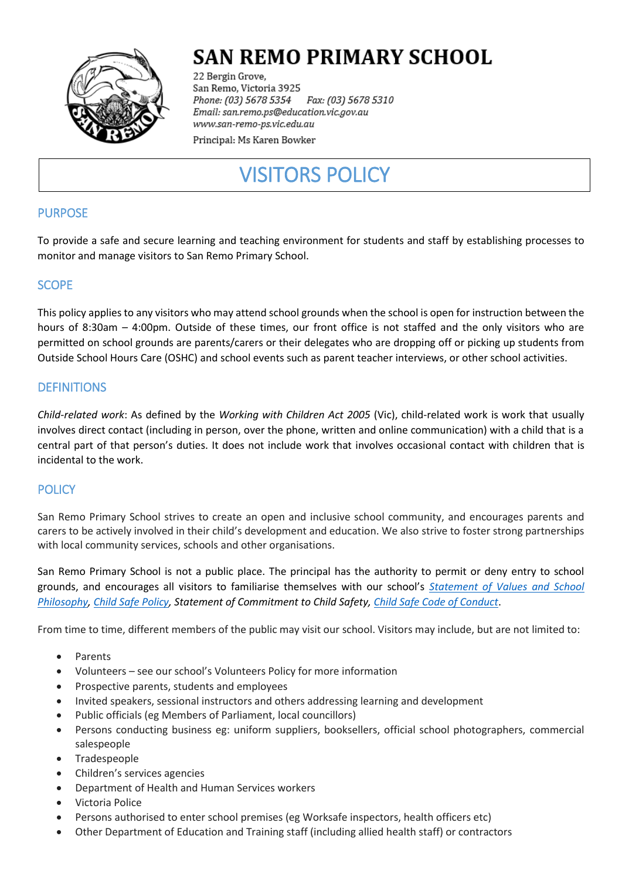

# **SAN REMO PRIMARY SCHOOL**

22 Bergin Grove, San Remo, Victoria 3925 Fax: (03) 5678 5310 Phone: (03) 5678 5354 Email: san.remo.ps@education.vic.gov.au www.san-remo-ps.vic.edu.au

Principal: Ms Karen Bowker

# VISITORS POLICY

## PURPOSE

To provide a safe and secure learning and teaching environment for students and staff by establishing processes to monitor and manage visitors to San Remo Primary School.

## SCOPE

This policy applies to any visitors who may attend school grounds when the school is open for instruction between the hours of 8:30am – 4:00pm. Outside of these times, our front office is not staffed and the only visitors who are permitted on school grounds are parents/carers or their delegates who are dropping off or picking up students from Outside School Hours Care (OSHC) and school events such as parent teacher interviews, or other school activities.

## **DEFINITIONS**

*Child-related work*: As defined by the *Working with Children Act 2005* (Vic), child-related work is work that usually involves direct contact (including in person, over the phone, written and online communication) with a child that is a central part of that person's duties. It does not include work that involves occasional contact with children that is incidental to the work.

### **POLICY**

San Remo Primary School strives to create an open and inclusive school community, and encourages parents and carers to be actively involved in their child's development and education. We also strive to foster strong partnerships with local community services, schools and other organisations.

San Remo Primary School is not a public place. The principal has the authority to permit or deny entry to school grounds, and encourages all visitors to familiarise themselves with our school's *[Statement of Values](Statement%20of%20Values%20and%20School%20Philosophy.pdf) and School [Philosophy,](Statement%20of%20Values%20and%20School%20Philosophy.pdf) [Child Safe Policy,](Child%20Safe/SRPS%20child-safety-policy.pdf) Statement of Commitment to Child Safety[, Child Safe Code of Conduct](Child%20Safe/SRPS%20Standard%203%20Code%20of%20Conduct%20%202020.pdf)*.

From time to time, different members of the public may visit our school. Visitors may include, but are not limited to:

- Parents
- Volunteers see our school's Volunteers Policy for more information
- Prospective parents, students and employees
- Invited speakers, sessional instructors and others addressing learning and development
- Public officials (eg Members of Parliament, local councillors)
- Persons conducting business eg: uniform suppliers, booksellers, official school photographers, commercial salespeople
- Tradespeople
- Children's services agencies
- Department of Health and Human Services workers
- Victoria Police
- Persons authorised to enter school premises (eg Worksafe inspectors, health officers etc)
- Other Department of Education and Training staff (including allied health staff) or contractors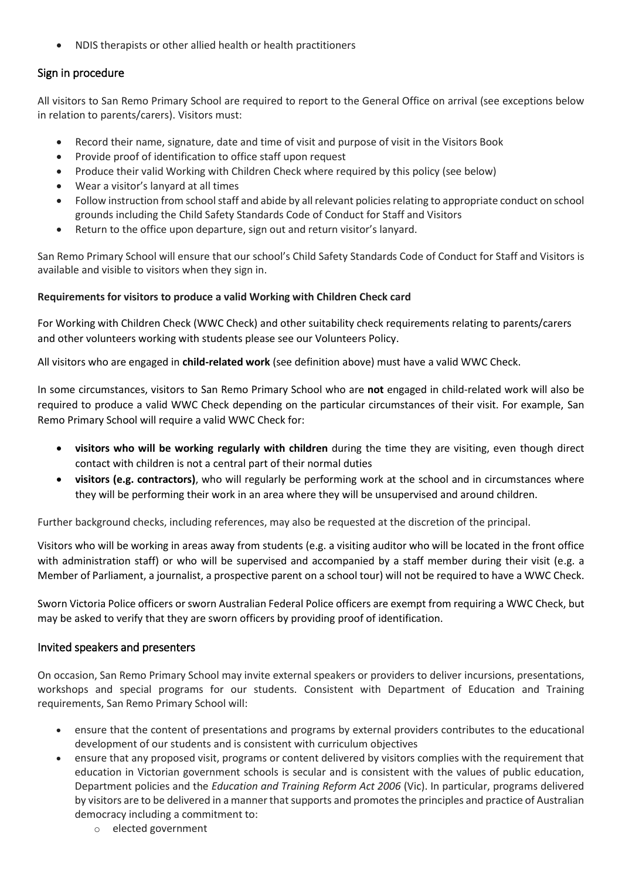NDIS therapists or other allied health or health practitioners

## Sign in procedure

All visitors to San Remo Primary School are required to report to the General Office on arrival (see exceptions below in relation to parents/carers). Visitors must:

- Record their name, signature, date and time of visit and purpose of visit in the Visitors Book
- Provide proof of identification to office staff upon request
- Produce their valid Working with Children Check where required by this policy (see below)
- Wear a visitor's lanyard at all times
- Follow instruction from school staff and abide by all relevant policies relating to appropriate conduct on school grounds including the Child Safety Standards Code of Conduct for Staff and Visitors
- Return to the office upon departure, sign out and return visitor's lanyard.

San Remo Primary School will ensure that our school's Child Safety Standards Code of Conduct for Staff and Visitors is available and visible to visitors when they sign in.

#### **Requirements for visitors to produce a valid Working with Children Check card**

For Working with Children Check (WWC Check) and other suitability check requirements relating to parents/carers and other volunteers working with students please see our Volunteers Policy.

All visitors who are engaged in **child-related work** (see definition above) must have a valid WWC Check.

In some circumstances, visitors to San Remo Primary School who are **not** engaged in child-related work will also be required to produce a valid WWC Check depending on the particular circumstances of their visit. For example, San Remo Primary School will require a valid WWC Check for:

- **visitors who will be working regularly with children** during the time they are visiting, even though direct contact with children is not a central part of their normal duties
- **visitors (e.g. contractors)**, who will regularly be performing work at the school and in circumstances where they will be performing their work in an area where they will be unsupervised and around children.

Further background checks, including references, may also be requested at the discretion of the principal.

Visitors who will be working in areas away from students (e.g. a visiting auditor who will be located in the front office with administration staff) or who will be supervised and accompanied by a staff member during their visit (e.g. a Member of Parliament, a journalist, a prospective parent on a school tour) will not be required to have a WWC Check.

Sworn Victoria Police officers or sworn Australian Federal Police officers are exempt from requiring a WWC Check, but may be asked to verify that they are sworn officers by providing proof of identification.

#### Invited speakers and presenters

On occasion, San Remo Primary School may invite external speakers or providers to deliver incursions, presentations, workshops and special programs for our students. Consistent with Department of Education and Training requirements, San Remo Primary School will:

- ensure that the content of presentations and programs by external providers contributes to the educational development of our students and is consistent with curriculum objectives
- ensure that any proposed visit, programs or content delivered by visitors complies with the requirement that education in Victorian government schools is secular and is consistent with the values of public education, Department policies and the *Education and Training Reform Act 2006* (Vic). In particular, programs delivered by visitors are to be delivered in a manner that supports and promotes the principles and practice of Australian democracy including a commitment to:
	- o elected government